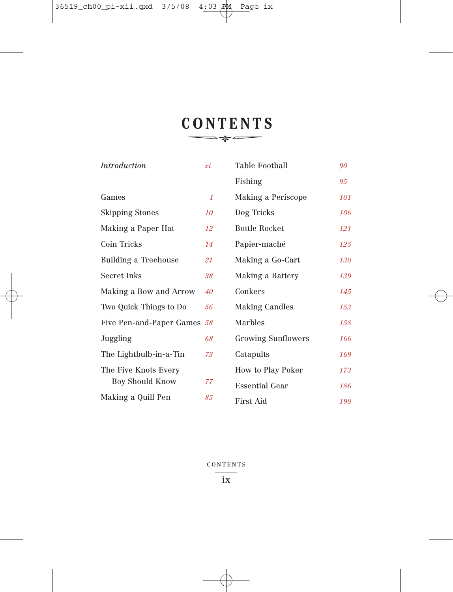# **CONTENTS**

| <i>Introduction</i>         | xi           | Table Football            | 90  |
|-----------------------------|--------------|---------------------------|-----|
|                             |              | Fishing                   | 95  |
| Games                       | $\mathcal I$ | Making a Periscope        | 101 |
| <b>Skipping Stones</b>      | 10           | Dog Tricks                | 106 |
| Making a Paper Hat          | 12           | Bottle Rocket             | 121 |
| Coin Tricks                 | 14           | Papier-maché              | 125 |
| Building a Treehouse        | 21           | Making a Go-Cart          | 130 |
| Secret Inks                 | 38           | Making a Battery          | 139 |
| Making a Bow and Arrow      | 40           | Conkers                   | 145 |
| Two Quick Things to Do      | 56           | <b>Making Candles</b>     | 153 |
| Five Pen-and-Paper Games 58 |              | Marbles                   | 158 |
| Juggling                    | 68           | <b>Growing Sunflowers</b> | 166 |
| The Lightbulb-in-a-Tin      | 73           | Catapults                 | 169 |
| The Five Knots Every        |              | How to Play Poker         | 173 |
| <b>Boy Should Know</b>      | 77           | Essential Gear            | 186 |
| Making a Quill Pen          | 85           | <b>First Aid</b>          | 190 |

CONTENTS  $\overline{\phantom{a}}$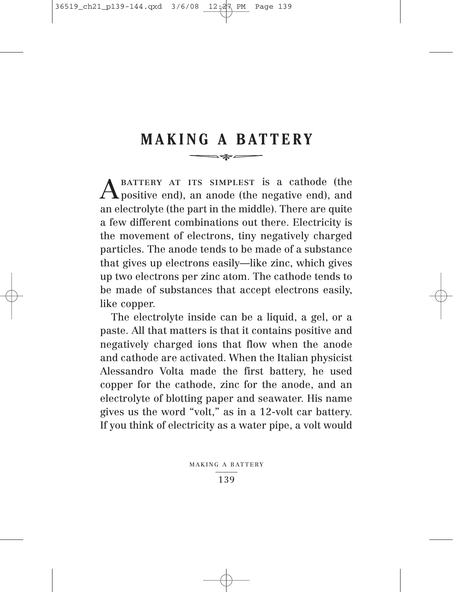## **MAKING A BATTERY**  $\longrightarrow \qquad \qquad \overline{\qquad \qquad }$

A BATTERY AT ITS SIMPLEST is a cathode (the positive end), an anode (the negative end), and an electrolyte (the part in the middle). There are quite a few different combinations out there. Electricity is the movement of electrons, tiny negatively charged particles. The anode tends to be made of a substance that gives up electrons easily—like zinc, which gives up two electrons per zinc atom. The cathode tends to be made of substances that accept electrons easily, like copper.

The electrolyte inside can be a liquid, a gel, or a paste. All that matters is that it contains positive and negatively charged ions that flow when the anode and cathode are activated. When the Italian physicist Alessandro Volta made the first battery, he used copper for the cathode, zinc for the anode, and an electrolyte of blotting paper and seawater. His name gives us the word "volt," as in a 12-volt car battery. If you think of electricity as a water pipe, a volt would

MAKING A BATTERY

139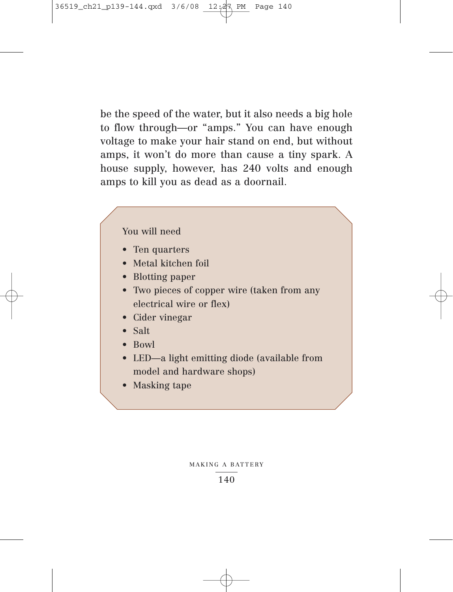be the speed of the water, but it also needs a big hole to flow through—or "amps." You can have enough voltage to make your hair stand on end, but without amps, it won't do more than cause a tiny spark. A house supply, however, has 240 volts and enough amps to kill you as dead as a doornail.

## You will need

- Ten quarters
- Metal kitchen foil
- Blotting paper
- Two pieces of copper wire (taken from any electrical wire or flex)
- Cider vinegar
- Salt
- Bowl
- LED—a light emitting diode (available from model and hardware shops)
- Masking tape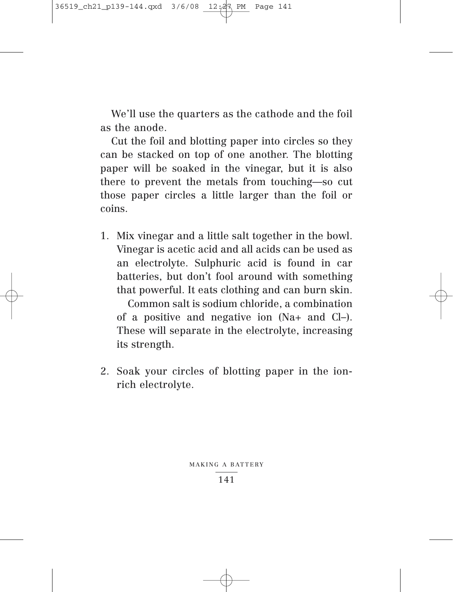We'll use the quarters as the cathode and the foil as the anode.

Cut the foil and blotting paper into circles so they can be stacked on top of one another. The blotting paper will be soaked in the vinegar, but it is also there to prevent the metals from touching—so cut those paper circles a little larger than the foil or coins.

1. Mix vinegar and a little salt together in the bowl. Vinegar is acetic acid and all acids can be used as an electrolyte. Sulphuric acid is found in car batteries, but don't fool around with something that powerful. It eats clothing and can burn skin.

Common salt is sodium chloride, a combination of a positive and negative ion (Na+ and Cl–). These will separate in the electrolyte, increasing its strength.

2. Soak your circles of blotting paper in the ionrich electrolyte.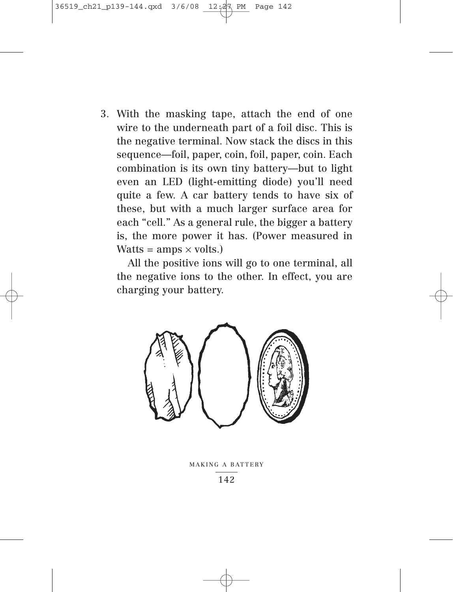3. With the masking tape, attach the end of one wire to the underneath part of a foil disc. This is the negative terminal. Now stack the discs in this sequence—foil, paper, coin, foil, paper, coin. Each combination is its own tiny battery—but to light even an LED (light-emitting diode) you'll need quite a few. A car battery tends to have six of these, but with a much larger surface area for each "cell." As a general rule, the bigger a battery is, the more power it has. (Power measured in  $Watts = amps \times volts.$ 

All the positive ions will go to one terminal, all the negative ions to the other. In effect, you are charging your battery.



MAKING A BATTERY

142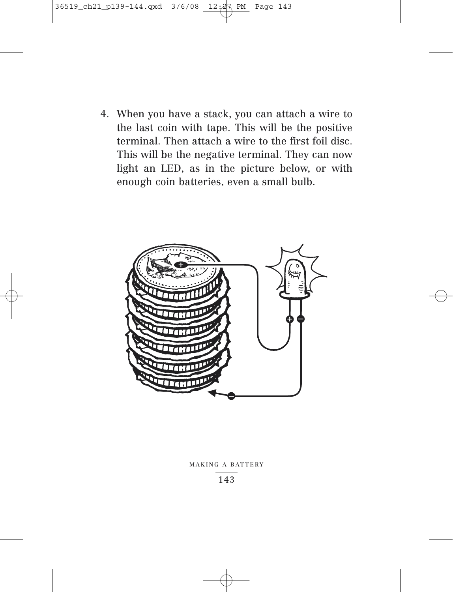4. When you have a stack, you can attach a wire to the last coin with tape. This will be the positive terminal. Then attach a wire to the first foil disc. This will be the negative terminal. They can now light an LED, as in the picture below, or with enough coin batteries, even a small bulb.



### MAKING A BATTERY

143